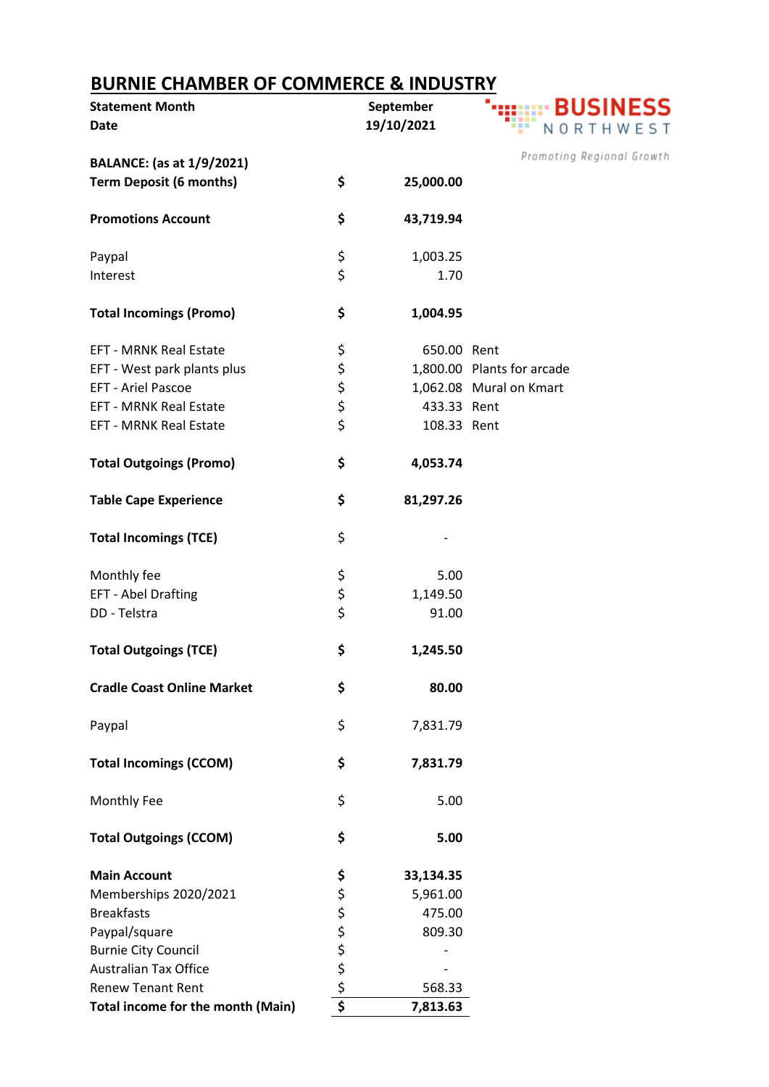## **BURNIE CHAMBER OF COMMERCE & INDUSTRY**

| <b>Statement Month</b>            |          | September   |                            |
|-----------------------------------|----------|-------------|----------------------------|
| <b>Date</b>                       |          | 19/10/2021  | NORTHWEST                  |
|                                   |          |             | Promoting Regional Growth  |
| <b>BALANCE:</b> (as at 1/9/2021)  |          |             |                            |
| <b>Term Deposit (6 months)</b>    | \$       | 25,000.00   |                            |
| <b>Promotions Account</b>         | \$       | 43,719.94   |                            |
| Paypal                            | \$<br>\$ | 1,003.25    |                            |
| Interest                          |          | 1.70        |                            |
| <b>Total Incomings (Promo)</b>    | \$       | 1,004.95    |                            |
| <b>EFT - MRNK Real Estate</b>     | \$       | 650.00 Rent |                            |
| EFT - West park plants plus       |          |             | 1,800.00 Plants for arcade |
| <b>EFT - Ariel Pascoe</b>         |          |             | 1,062.08 Mural on Kmart    |
| <b>EFT - MRNK Real Estate</b>     | \$\$\$\$ | 433.33 Rent |                            |
| <b>EFT - MRNK Real Estate</b>     |          |             |                            |
|                                   |          | 108.33 Rent |                            |
| <b>Total Outgoings (Promo)</b>    | \$       | 4,053.74    |                            |
| <b>Table Cape Experience</b>      | \$       | 81,297.26   |                            |
| <b>Total Incomings (TCE)</b>      | \$       |             |                            |
| Monthly fee                       | \$       | 5.00        |                            |
| EFT - Abel Drafting               | \$       | 1,149.50    |                            |
| DD - Telstra                      | \$       | 91.00       |                            |
| <b>Total Outgoings (TCE)</b>      | \$       | 1,245.50    |                            |
| <b>Cradle Coast Online Market</b> | \$       | 80.00       |                            |
| Paypal                            | \$       | 7,831.79    |                            |
| <b>Total Incomings (CCOM)</b>     | \$       | 7,831.79    |                            |
| Monthly Fee                       | \$       | 5.00        |                            |
| <b>Total Outgoings (CCOM)</b>     | \$       | 5.00        |                            |
| <b>Main Account</b>               | \$       | 33,134.35   |                            |
| Memberships 2020/2021             |          | 5,961.00    |                            |
| <b>Breakfasts</b>                 | ぐぐら ぐり   | 475.00      |                            |
| Paypal/square                     |          | 809.30      |                            |
| <b>Burnie City Council</b>        |          |             |                            |
| <b>Australian Tax Office</b>      |          |             |                            |
| <b>Renew Tenant Rent</b>          |          | 568.33      |                            |
| Total income for the month (Main) | \$       | 7,813.63    |                            |
|                                   |          |             |                            |